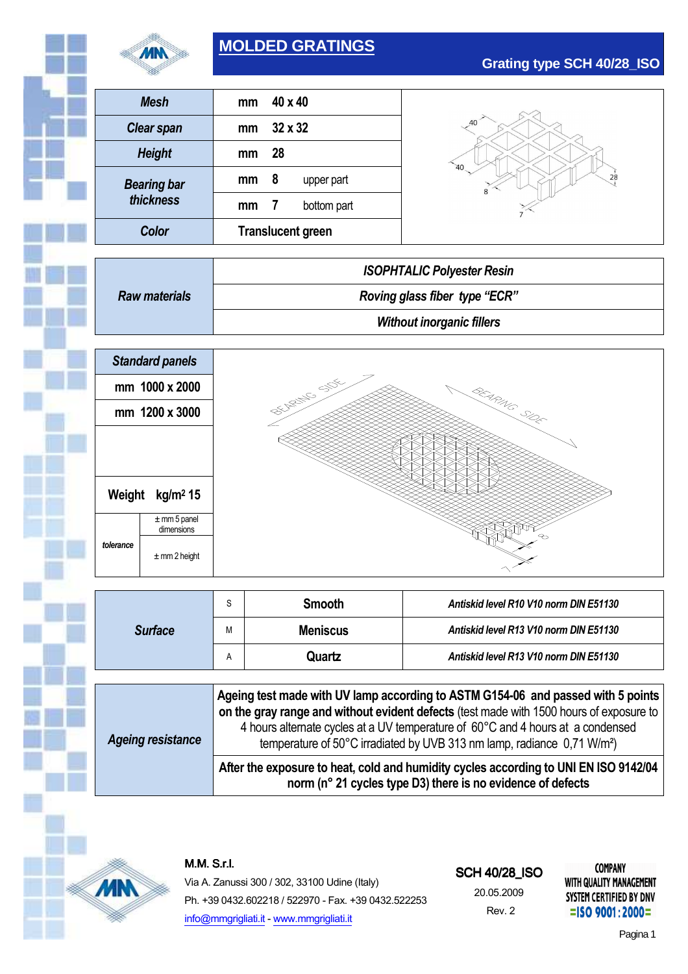

# **MOLDED GRATINGS**

| Mesh               | mm                       | $40 \times 40$                |  |  |
|--------------------|--------------------------|-------------------------------|--|--|
| <b>Clear span</b>  | mm                       | $32 \times 32$                |  |  |
| <b>Height</b>      | mm                       | 28                            |  |  |
| <b>Bearing bar</b> | mm                       | 8<br>upper part               |  |  |
| thickness          | mm                       | bottom part<br>$\overline{1}$ |  |  |
| Color              | <b>Translucent green</b> |                               |  |  |

**Grating type SCH 40/28\_ISO**

|                      | <b>ISOPHTALIC Polyester Resin</b> |  |
|----------------------|-----------------------------------|--|
| <b>Raw materials</b> | Roving glass fiber type "ECR"     |  |
|                      | <b>Without inorganic fillers</b>  |  |



|                          | S                                                                                                                                                                                                                                                                                                                                                     | <b>Smooth</b><br>Antiskid level R10 V10 norm DIN E51130 |                                        |  |  |  |
|--------------------------|-------------------------------------------------------------------------------------------------------------------------------------------------------------------------------------------------------------------------------------------------------------------------------------------------------------------------------------------------------|---------------------------------------------------------|----------------------------------------|--|--|--|
| <b>Surface</b>           | M                                                                                                                                                                                                                                                                                                                                                     | <b>Meniscus</b>                                         | Antiskid level R13 V10 norm DIN E51130 |  |  |  |
|                          | Α                                                                                                                                                                                                                                                                                                                                                     | Quartz                                                  | Antiskid level R13 V10 norm DIN E51130 |  |  |  |
|                          |                                                                                                                                                                                                                                                                                                                                                       |                                                         |                                        |  |  |  |
| <b>Ageing resistance</b> | Ageing test made with UV lamp according to ASTM G154-06 and passed with 5 points<br>on the gray range and without evident defects (test made with 1500 hours of exposure to<br>4 hours alternate cycles at a UV temperature of 60°C and 4 hours at a condensed<br>temperature of 50°C irradiated by UVB 313 nm lamp, radiance 0,71 W/m <sup>2</sup> ) |                                                         |                                        |  |  |  |
|                          | After the exposure to heat, cold and humidity cycles according to UNI EN ISO 9142/04<br>norm (n° 21 cycles type D3) there is no evidence of defects                                                                                                                                                                                                   |                                                         |                                        |  |  |  |



M.M.S.r.l.

Via A. Zanussi 300 / 302, 33100 Udine (Italy) Ph. +39 0432.602218 / 522970 - Fax. +39 0432.522253 info@mmgrigliati.it - www.mmgrigliati.it

#### **SCH 40/28 ISO**

20.05.2009 Rev. 2

**COMPANY WITH QUALITY MANAGEMENT** SYSTEM CERTIFIED BY DNV  $=$ ISO 9001:2000=